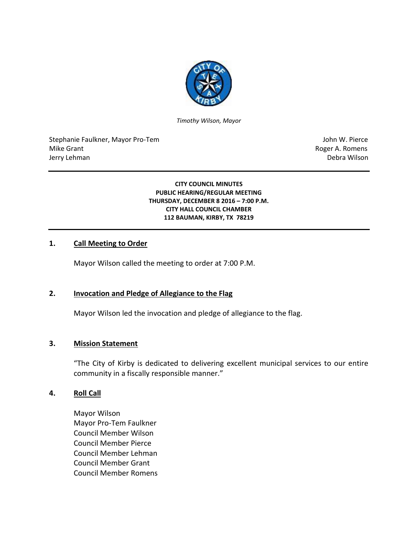

*Timothy Wilson, Mayor*

Stephanie Faulkner, Mayor Pro-Tem John W. Pierce Mike Grant **Mike Grant** Roger A. Romens **Contract A. Romens Roger A. Romens** Jerry Lehman Debra Wilson

**CITY COUNCIL MINUTES PUBLIC HEARING/REGULAR MEETING THURSDAY, DECEMBER 8 2016 – 7:00 P.M. CITY HALL COUNCIL CHAMBER 112 BAUMAN, KIRBY, TX 78219**

## **1. Call Meeting to Order**

Mayor Wilson called the meeting to order at 7:00 P.M.

### **2. Invocation and Pledge of Allegiance to the Flag**

Mayor Wilson led the invocation and pledge of allegiance to the flag.

#### **3. Mission Statement**

"The City of Kirby is dedicated to delivering excellent municipal services to our entire community in a fiscally responsible manner."

### **4. Roll Call**

Mayor Wilson Mayor Pro-Tem Faulkner Council Member Wilson Council Member Pierce Council Member Lehman Council Member Grant Council Member Romens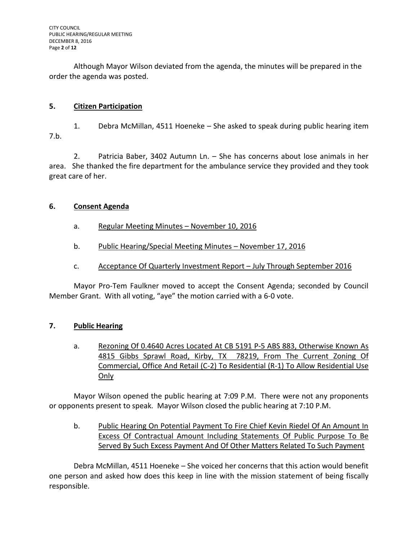Although Mayor Wilson deviated from the agenda, the minutes will be prepared in the order the agenda was posted.

## **5. Citizen Participation**

1. Debra McMillan, 4511 Hoeneke – She asked to speak during public hearing item 7.b.

2. Patricia Baber, 3402 Autumn Ln. – She has concerns about lose animals in her area. She thanked the fire department for the ambulance service they provided and they took great care of her.

## **6. Consent Agenda**

- a. Regular Meeting Minutes November 10, 2016
- b. Public Hearing/Special Meeting Minutes November 17, 2016
- c. Acceptance Of Quarterly Investment Report July Through September 2016

Mayor Pro-Tem Faulkner moved to accept the Consent Agenda; seconded by Council Member Grant. With all voting, "aye" the motion carried with a 6-0 vote.

# **7. Public Hearing**

a. Rezoning Of 0.4640 Acres Located At CB 5191 P-5 ABS 883, Otherwise Known As 4815 Gibbs Sprawl Road, Kirby, TX 78219, From The Current Zoning Of Commercial, Office And Retail (C-2) To Residential (R-1) To Allow Residential Use Only

Mayor Wilson opened the public hearing at 7:09 P.M. There were not any proponents or opponents present to speak. Mayor Wilson closed the public hearing at 7:10 P.M.

b. Public Hearing On Potential Payment To Fire Chief Kevin Riedel Of An Amount In Excess Of Contractual Amount Including Statements Of Public Purpose To Be Served By Such Excess Payment And Of Other Matters Related To Such Payment

Debra McMillan, 4511 Hoeneke – She voiced her concerns that this action would benefit one person and asked how does this keep in line with the mission statement of being fiscally responsible.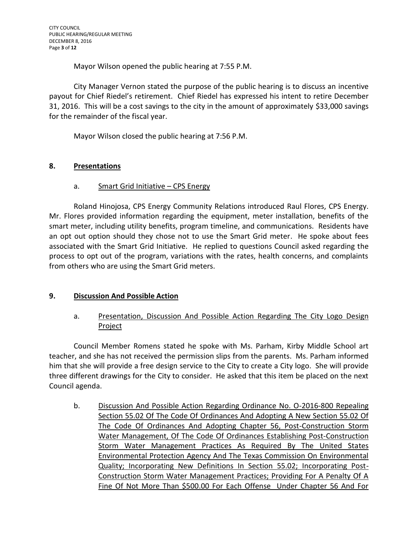CITY COUNCIL PUBLIC HEARING/REGULAR MEETING DECEMBER 8, 2016 Page **3** of **12**

Mayor Wilson opened the public hearing at 7:55 P.M.

City Manager Vernon stated the purpose of the public hearing is to discuss an incentive payout for Chief Riedel's retirement. Chief Riedel has expressed his intent to retire December 31, 2016. This will be a cost savings to the city in the amount of approximately \$33,000 savings for the remainder of the fiscal year.

Mayor Wilson closed the public hearing at 7:56 P.M.

## **8. Presentations**

a. Smart Grid Initiative – CPS Energy

Roland Hinojosa, CPS Energy Community Relations introduced Raul Flores, CPS Energy. Mr. Flores provided information regarding the equipment, meter installation, benefits of the smart meter, including utility benefits, program timeline, and communications. Residents have an opt out option should they chose not to use the Smart Grid meter. He spoke about fees associated with the Smart Grid Initiative. He replied to questions Council asked regarding the process to opt out of the program, variations with the rates, health concerns, and complaints from others who are using the Smart Grid meters.

# **9. Discussion And Possible Action**

# a. Presentation, Discussion And Possible Action Regarding The City Logo Design Project

Council Member Romens stated he spoke with Ms. Parham, Kirby Middle School art teacher, and she has not received the permission slips from the parents. Ms. Parham informed him that she will provide a free design service to the City to create a City logo. She will provide three different drawings for the City to consider. He asked that this item be placed on the next Council agenda.

b. Discussion And Possible Action Regarding Ordinance No. O-2016-800 Repealing Section 55.02 Of The Code Of Ordinances And Adopting A New Section 55.02 Of The Code Of Ordinances And Adopting Chapter 56, Post-Construction Storm Water Management, Of The Code Of Ordinances Establishing Post-Construction Storm Water Management Practices As Required By The United States Environmental Protection Agency And The Texas Commission On Environmental Quality; Incorporating New Definitions In Section 55.02; Incorporating Post-Construction Storm Water Management Practices; Providing For A Penalty Of A Fine Of Not More Than \$500.00 For Each Offense Under Chapter 56 And For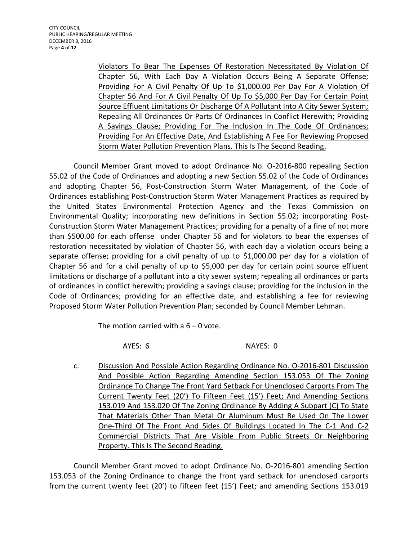Violators To Bear The Expenses Of Restoration Necessitated By Violation Of Chapter 56, With Each Day A Violation Occurs Being A Separate Offense; Providing For A Civil Penalty Of Up To \$1,000.00 Per Day For A Violation Of Chapter 56 And For A Civil Penalty Of Up To \$5,000 Per Day For Certain Point Source Effluent Limitations Or Discharge Of A Pollutant Into A City Sewer System; Repealing All Ordinances Or Parts Of Ordinances In Conflict Herewith; Providing A Savings Clause; Providing For The Inclusion In The Code Of Ordinances; Providing For An Effective Date, And Establishing A Fee For Reviewing Proposed Storm Water Pollution Prevention Plans. This Is The Second Reading.

Council Member Grant moved to adopt Ordinance No. O-2016-800 repealing Section 55.02 of the Code of Ordinances and adopting a new Section 55.02 of the Code of Ordinances and adopting Chapter 56, Post-Construction Storm Water Management, of the Code of Ordinances establishing Post-Construction Storm Water Management Practices as required by the United States Environmental Protection Agency and the Texas Commission on Environmental Quality; incorporating new definitions in Section 55.02; incorporating Post-Construction Storm Water Management Practices; providing for a penalty of a fine of not more than \$500.00 for each offense under Chapter 56 and for violators to bear the expenses of restoration necessitated by violation of Chapter 56, with each day a violation occurs being a separate offense; providing for a civil penalty of up to \$1,000.00 per day for a violation of Chapter 56 and for a civil penalty of up to \$5,000 per day for certain point source effluent limitations or discharge of a pollutant into a city sewer system; repealing all ordinances or parts of ordinances in conflict herewith; providing a savings clause; providing for the inclusion in the Code of Ordinances; providing for an effective date, and establishing a fee for reviewing Proposed Storm Water Pollution Prevention Plan; seconded by Council Member Lehman.

The motion carried with a  $6 - 0$  vote.

AYES: 6 NAYES: 0

c. Discussion And Possible Action Regarding Ordinance No. O-2016-801 Discussion And Possible Action Regarding Amending Section 153.053 Of The Zoning Ordinance To Change The Front Yard Setback For Unenclosed Carports From The Current Twenty Feet (20') To Fifteen Feet (15') Feet; And Amending Sections 153.019 And 153.020 Of The Zoning Ordinance By Adding A Subpart (C) To State That Materials Other Than Metal Or Aluminum Must Be Used On The Lower One-Third Of The Front And Sides Of Buildings Located In The C-1 And C-2 Commercial Districts That Are Visible From Public Streets Or Neighboring Property. This Is The Second Reading.

Council Member Grant moved to adopt Ordinance No. O-2016-801 amending Section 153.053 of the Zoning Ordinance to change the front yard setback for unenclosed carports from the current twenty feet (20') to fifteen feet (15') Feet; and amending Sections 153.019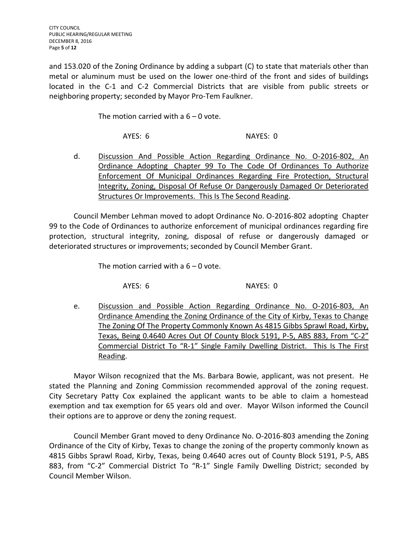and 153.020 of the Zoning Ordinance by adding a subpart (C) to state that materials other than metal or aluminum must be used on the lower one-third of the front and sides of buildings located in the C-1 and C-2 Commercial Districts that are visible from public streets or neighboring property; seconded by Mayor Pro-Tem Faulkner.

The motion carried with a  $6 - 0$  vote.

AYES: 6 NAYES: 0

d. Discussion And Possible Action Regarding Ordinance No. O-2016-802, An Ordinance Adopting Chapter 99 To The Code Of Ordinances To Authorize Enforcement Of Municipal Ordinances Regarding Fire Protection, Structural Integrity, Zoning, Disposal Of Refuse Or Dangerously Damaged Or Deteriorated Structures Or Improvements. This Is The Second Reading.

Council Member Lehman moved to adopt Ordinance No. O-2016-802 adopting Chapter 99 to the Code of Ordinances to authorize enforcement of municipal ordinances regarding fire protection, structural integrity, zoning, disposal of refuse or dangerously damaged or deteriorated structures or improvements; seconded by Council Member Grant.

The motion carried with a  $6 - 0$  vote.

AYES: 6 NAYES: 0

e. Discussion and Possible Action Regarding Ordinance No. O-2016-803, An Ordinance Amending the Zoning Ordinance of the City of Kirby, Texas to Change The Zoning Of The Property Commonly Known As 4815 Gibbs Sprawl Road, Kirby, Texas, Being 0.4640 Acres Out Of County Block 5191, P-5, ABS 883, From "C-2" Commercial District To "R-1" Single Family Dwelling District. This Is The First Reading.

Mayor Wilson recognized that the Ms. Barbara Bowie, applicant, was not present. He stated the Planning and Zoning Commission recommended approval of the zoning request. City Secretary Patty Cox explained the applicant wants to be able to claim a homestead exemption and tax exemption for 65 years old and over. Mayor Wilson informed the Council their options are to approve or deny the zoning request.

Council Member Grant moved to deny Ordinance No. O-2016-803 amending the Zoning Ordinance of the City of Kirby, Texas to change the zoning of the property commonly known as 4815 Gibbs Sprawl Road, Kirby, Texas, being 0.4640 acres out of County Block 5191, P-5, ABS 883, from "C-2" Commercial District To "R-1" Single Family Dwelling District; seconded by Council Member Wilson.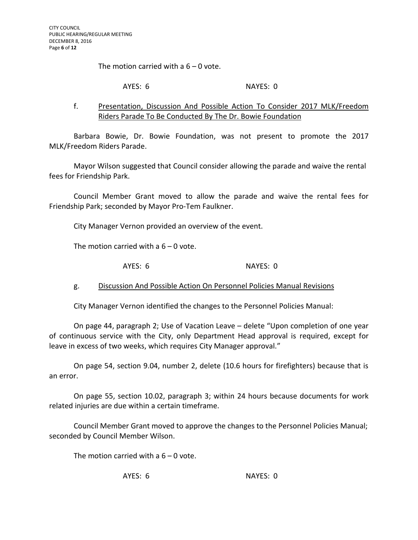The motion carried with a  $6 - 0$  vote.

#### AYES: 6 NAYES: 0

# f. Presentation, Discussion And Possible Action To Consider 2017 MLK/Freedom Riders Parade To Be Conducted By The Dr. Bowie Foundation

Barbara Bowie, Dr. Bowie Foundation, was not present to promote the 2017 MLK/Freedom Riders Parade.

Mayor Wilson suggested that Council consider allowing the parade and waive the rental fees for Friendship Park.

Council Member Grant moved to allow the parade and waive the rental fees for Friendship Park; seconded by Mayor Pro-Tem Faulkner.

City Manager Vernon provided an overview of the event.

The motion carried with a  $6 - 0$  vote.

AYES: 6 NAYES: 0

g. Discussion And Possible Action On Personnel Policies Manual Revisions

City Manager Vernon identified the changes to the Personnel Policies Manual:

On page 44, paragraph 2; Use of Vacation Leave – delete "Upon completion of one year of continuous service with the City, only Department Head approval is required, except for leave in excess of two weeks, which requires City Manager approval."

On page 54, section 9.04, number 2, delete (10.6 hours for firefighters) because that is an error.

On page 55, section 10.02, paragraph 3; within 24 hours because documents for work related injuries are due within a certain timeframe.

Council Member Grant moved to approve the changes to the Personnel Policies Manual; seconded by Council Member Wilson.

The motion carried with a  $6 - 0$  vote.

AYES: 6 NAYES: 0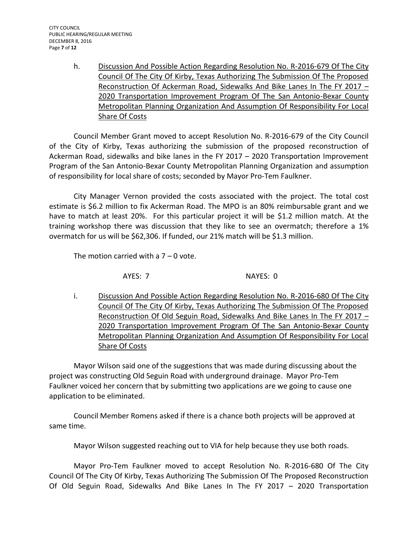h. Discussion And Possible Action Regarding Resolution No. R-2016-679 Of The City Council Of The City Of Kirby, Texas Authorizing The Submission Of The Proposed Reconstruction Of Ackerman Road, Sidewalks And Bike Lanes In The FY 2017 -2020 Transportation Improvement Program Of The San Antonio-Bexar County Metropolitan Planning Organization And Assumption Of Responsibility For Local Share Of Costs

Council Member Grant moved to accept Resolution No. R-2016-679 of the City Council of the City of Kirby, Texas authorizing the submission of the proposed reconstruction of Ackerman Road, sidewalks and bike lanes in the FY 2017 – 2020 Transportation Improvement Program of the San Antonio-Bexar County Metropolitan Planning Organization and assumption of responsibility for local share of costs; seconded by Mayor Pro-Tem Faulkner.

City Manager Vernon provided the costs associated with the project. The total cost estimate is \$6.2 million to fix Ackerman Road. The MPO is an 80% reimbursable grant and we have to match at least 20%. For this particular project it will be \$1.2 million match. At the training workshop there was discussion that they like to see an overmatch; therefore a 1% overmatch for us will be \$62,306. If funded, our 21% match will be \$1.3 million.

The motion carried with a  $7 - 0$  vote.

AYES: 7 NAYES: 0

i. Discussion And Possible Action Regarding Resolution No. R-2016-680 Of The City Council Of The City Of Kirby, Texas Authorizing The Submission Of The Proposed Reconstruction Of Old Seguin Road, Sidewalks And Bike Lanes In The FY 2017 – 2020 Transportation Improvement Program Of The San Antonio-Bexar County Metropolitan Planning Organization And Assumption Of Responsibility For Local Share Of Costs

Mayor Wilson said one of the suggestions that was made during discussing about the project was constructing Old Seguin Road with underground drainage. Mayor Pro-Tem Faulkner voiced her concern that by submitting two applications are we going to cause one application to be eliminated.

Council Member Romens asked if there is a chance both projects will be approved at same time.

Mayor Wilson suggested reaching out to VIA for help because they use both roads.

Mayor Pro-Tem Faulkner moved to accept Resolution No. R-2016-680 Of The City Council Of The City Of Kirby, Texas Authorizing The Submission Of The Proposed Reconstruction Of Old Seguin Road, Sidewalks And Bike Lanes In The FY 2017 – 2020 Transportation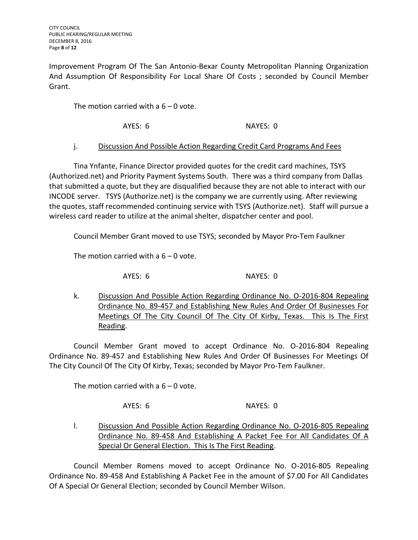Improvement Program Of The San Antonio-Bexar County Metropolitan Planning Organization And Assumption Of Responsibility For Local Share Of Costs ; seconded by Council Member Grant.

The motion carried with a  $6 - 0$  vote.

AYES: 6 NAYES: 0

# j. Discussion And Possible Action Regarding Credit Card Programs And Fees

Tina Ynfante, Finance Director provided quotes for the credit card machines, TSYS (Authorized.net) and Priority Payment Systems South. There was a third company from Dallas that submitted a quote, but they are disqualified because they are not able to interact with our INCODE server. TSYS (Authorize.net) is the company we are currently using. After reviewing the quotes, staff recommended continuing service with TSYS (Authorize.net). Staff will pursue a wireless card reader to utilize at the animal shelter, dispatcher center and pool.

Council Member Grant moved to use TSYS; seconded by Mayor Pro-Tem Faulkner

The motion carried with a  $6 - 0$  vote.

AYES: 6 NAYES: 0

k. Discussion And Possible Action Regarding Ordinance No. O-2016-804 Repealing Ordinance No. 89-457 and Establishing New Rules And Order Of Businesses For Meetings Of The City Council Of The City Of Kirby, Texas. This Is The First Reading.

Council Member Grant moved to accept Ordinance No. O-2016-804 Repealing Ordinance No. 89-457 and Establishing New Rules And Order Of Businesses For Meetings Of The City Council Of The City Of Kirby, Texas; seconded by Mayor Pro-Tem Faulkner.

The motion carried with a  $6 - 0$  vote.

AYES: 6 NAYES: 0

l. Discussion And Possible Action Regarding Ordinance No. 0-2016-805 Repealing Ordinance No. 89-458 And Establishing A Packet Fee For All Candidates Of A

Council Member Romens moved to accept Ordinance No. O-2016-805 Repealing Ordinance No. 89-458 And Establishing A Packet Fee in the amount of \$7.00 For All Candidates Of A Special Or General Election; seconded by Council Member Wilson.

Special Or General Election. This Is The First Reading.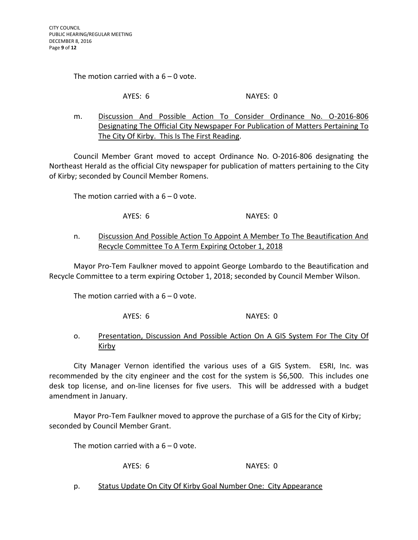The motion carried with a  $6 - 0$  vote.

AYES: 6 NAYES: 0

m. Discussion And Possible Action To Consider Ordinance No. O-2016-806 Designating The Official City Newspaper For Publication of Matters Pertaining To The City Of Kirby. This Is The First Reading.

Council Member Grant moved to accept Ordinance No. O-2016-806 designating the Northeast Herald as the official City newspaper for publication of matters pertaining to the City of Kirby; seconded by Council Member Romens.

The motion carried with a  $6 - 0$  vote.

AYES: 6 NAYES: 0

n. Discussion And Possible Action To Appoint A Member To The Beautification And Recycle Committee To A Term Expiring October 1, 2018

Mayor Pro-Tem Faulkner moved to appoint George Lombardo to the Beautification and Recycle Committee to a term expiring October 1, 2018; seconded by Council Member Wilson.

The motion carried with a  $6 - 0$  vote.

AYES: 6 NAYES: 0

# o. Presentation, Discussion And Possible Action On A GIS System For The City Of Kirby

City Manager Vernon identified the various uses of a GIS System. ESRI, Inc. was recommended by the city engineer and the cost for the system is \$6,500. This includes one desk top license, and on-line licenses for five users. This will be addressed with a budget amendment in January.

Mayor Pro-Tem Faulkner moved to approve the purchase of a GIS for the City of Kirby; seconded by Council Member Grant.

The motion carried with a  $6 - 0$  vote.

AYES: 6 NAYES: 0

p. Status Update On City Of Kirby Goal Number One: City Appearance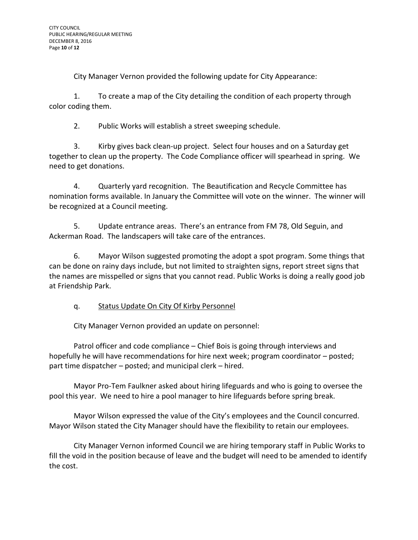City Manager Vernon provided the following update for City Appearance:

1. To create a map of the City detailing the condition of each property through color coding them.

2. Public Works will establish a street sweeping schedule.

3. Kirby gives back clean-up project. Select four houses and on a Saturday get together to clean up the property. The Code Compliance officer will spearhead in spring. We need to get donations.

4. Quarterly yard recognition. The Beautification and Recycle Committee has nomination forms available. In January the Committee will vote on the winner. The winner will be recognized at a Council meeting.

5. Update entrance areas. There's an entrance from FM 78, Old Seguin, and Ackerman Road. The landscapers will take care of the entrances.

6. Mayor Wilson suggested promoting the adopt a spot program. Some things that can be done on rainy days include, but not limited to straighten signs, report street signs that the names are misspelled or signs that you cannot read. Public Works is doing a really good job at Friendship Park.

# q. Status Update On City Of Kirby Personnel

City Manager Vernon provided an update on personnel:

Patrol officer and code compliance – Chief Bois is going through interviews and hopefully he will have recommendations for hire next week; program coordinator – posted; part time dispatcher – posted; and municipal clerk – hired.

Mayor Pro-Tem Faulkner asked about hiring lifeguards and who is going to oversee the pool this year. We need to hire a pool manager to hire lifeguards before spring break.

Mayor Wilson expressed the value of the City's employees and the Council concurred. Mayor Wilson stated the City Manager should have the flexibility to retain our employees.

City Manager Vernon informed Council we are hiring temporary staff in Public Works to fill the void in the position because of leave and the budget will need to be amended to identify the cost.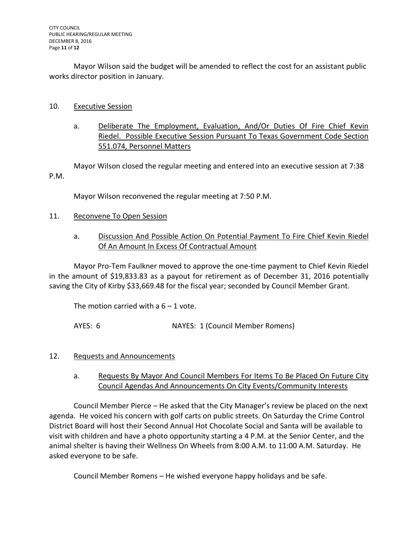Mayor Wilson said the budget will be amended to reflect the cost for an assistant public works director position in January.

## 10. Executive Session

a. Deliberate The Employment, Evaluation, And/Or Duties Of Fire Chief Kevin Riedel. Possible Executive Session Pursuant To Texas Government Code Section 551.074, Personnel Matters

Mayor Wilson closed the regular meeting and entered into an executive session at 7:38 P.M.

Mayor Wilson reconvened the regular meeting at 7:50 P.M.

- 11. Reconvene To Open Session
	- a. Discussion And Possible Action On Potential Payment To Fire Chief Kevin Riedel Of An Amount In Excess Of Contractual Amount

Mayor Pro-Tem Faulkner moved to approve the one-time payment to Chief Kevin Riedel in the amount of \$19,833.83 as a payout for retirement as of December 31, 2016 potentially saving the City of Kirby \$33,669.48 for the fiscal year; seconded by Council Member Grant.

The motion carried with a  $6 - 1$  vote.

AYES: 6 NAYES: 1 (Council Member Romens)

# 12. Requests and Announcements

a. Requests By Mayor And Council Members For Items To Be Placed On Future City Council Agendas And Announcements On City Events/Community Interests

Council Member Pierce – He asked that the City Manager's review be placed on the next agenda. He voiced his concern with golf carts on public streets. On Saturday the Crime Control District Board will host their Second Annual Hot Chocolate Social and Santa will be available to visit with children and have a photo opportunity starting a 4 P.M. at the Senior Center, and the animal shelter is having their Wellness On Wheels from 8:00 A.M. to 11:00 A.M. Saturday. He asked everyone to be safe.

Council Member Romens – He wished everyone happy holidays and be safe.